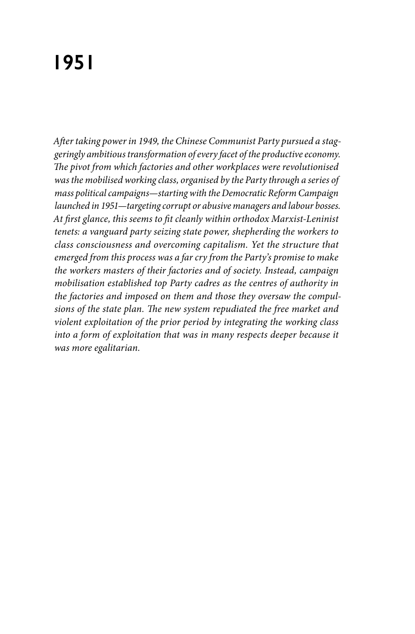## **1951**

*After taking power in 1949, the Chinese Communist Party pursued a staggeringly ambitious transformation of every facet of the productive economy. The pivot from which factories and other workplaces were revolutionised was the mobilised working class, organised by the Party through a series of mass political campaigns—starting with the Democratic Reform Campaign launched in 1951—targeting corrupt or abusive managers and labour bosses. At first glance, this seems to fit cleanly within orthodox Marxist-Leninist tenets: a vanguard party seizing state power, shepherding the workers to class consciousness and overcoming capitalism. Yet the structure that emerged from this process was a far cry from the Party's promise to make the workers masters of their factories and of society. Instead, campaign mobilisation established top Party cadres as the centres of authority in the factories and imposed on them and those they oversaw the compulsions of the state plan. The new system repudiated the free market and violent exploitation of the prior period by integrating the working class into a form of exploitation that was in many respects deeper because it was more egalitarian.*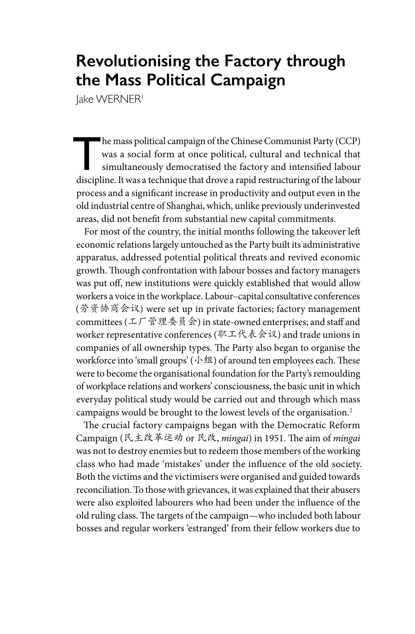## **Revolutionising the Factory through the Mass Political Campaign**

Jake WERNER<sup>1</sup>

The mass political campaign of the Chinese Communist Party (CCP)<br>was a social form at once political, cultural and technical that<br>simultaneously democratised the factory and intensified labour<br>discipling It was a technique was a social form at once political, cultural and technical that simultaneously democratised the factory and intensified labour discipline. It was a technique that drove a rapid restructuring of the labour process and a significant increase in productivity and output even in the old industrial centre of Shanghai, which, unlike previously underinvested areas, did not benefit from substantial new capital commitments.

For most of the country, the initial months following the takeover left economic relations largely untouched as the Party built its administrative apparatus, addressed potential political threats and revived economic growth. Though confrontation with labour bosses and factory managers was put off, new institutions were quickly established that would allow workers a voice in the workplace. Labour–capital consultative conferences (劳资协商会议) were set up in private factories; factory management committees (工厂管理委员会) in state-owned enterprises; and staff and worker representative conferences (职工代表会议) and trade unions in companies of all ownership types. The Party also began to organise the workforce into 'small groups' (小组) of around ten employees each. These were to become the organisational foundation for the Party's remoulding of workplace relations and workers' consciousness, the basic unit in which everyday political study would be carried out and through which mass campaigns would be brought to the lowest levels of the organisation.2

The crucial factory campaigns began with the Democratic Reform Campaign (民主改革运动 or 民改, *mingai*) in 1951. The aim of *mingai* was not to destroy enemies but to redeem those members of the working class who had made 'mistakes' under the influence of the old society. Both the victims and the victimisers were organised and guided towards reconciliation. To those with grievances, it was explained that their abusers were also exploited labourers who had been under the influence of the old ruling class. The targets of the campaign—who included both labour bosses and regular workers 'estranged' from their fellow workers due to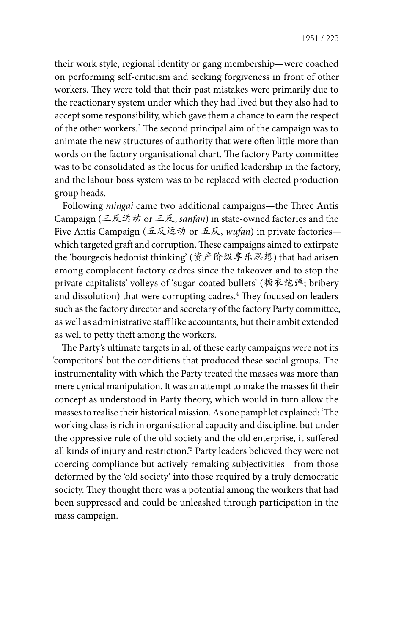their work style, regional identity or gang membership—were coached on performing self-criticism and seeking forgiveness in front of other workers. They were told that their past mistakes were primarily due to the reactionary system under which they had lived but they also had to accept some responsibility, which gave them a chance to earn the respect of the other workers.3 The second principal aim of the campaign was to animate the new structures of authority that were often little more than words on the factory organisational chart. The factory Party committee was to be consolidated as the locus for unified leadership in the factory, and the labour boss system was to be replaced with elected production group heads.

Following *mingai* came two additional campaigns—the Three Antis Campaign (三反运动 or 三反, *sanfan*) in state-owned factories and the Five Antis Campaign (五反运动 or 五反, *wufan*) in private factories which targeted graft and corruption. These campaigns aimed to extirpate the 'bourgeois hedonist thinking' (资产阶级享乐思想) that had arisen among complacent factory cadres since the takeover and to stop the private capitalists' volleys of 'sugar-coated bullets' (糖衣炮弹; bribery and dissolution) that were corrupting cadres.<sup>4</sup> They focused on leaders such as the factory director and secretary of the factory Party committee, as well as administrative staff like accountants, but their ambit extended as well to petty theft among the workers.

The Party's ultimate targets in all of these early campaigns were not its 'competitors' but the conditions that produced these social groups. The instrumentality with which the Party treated the masses was more than mere cynical manipulation. It was an attempt to make the masses fit their concept as understood in Party theory, which would in turn allow the masses to realise their historical mission. As one pamphlet explained: 'The working class is rich in organisational capacity and discipline, but under the oppressive rule of the old society and the old enterprise, it suffered all kinds of injury and restriction.'5 Party leaders believed they were not coercing compliance but actively remaking subjectivities—from those deformed by the 'old society' into those required by a truly democratic society. They thought there was a potential among the workers that had been suppressed and could be unleashed through participation in the mass campaign.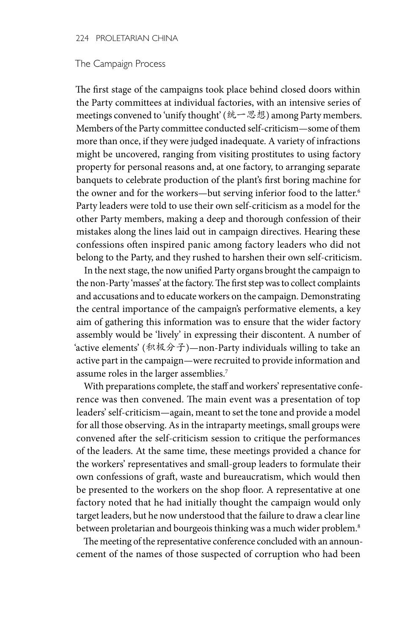## The Campaign Process

The first stage of the campaigns took place behind closed doors within the Party committees at individual factories, with an intensive series of meetings convened to 'unify thought' (统一思想) among Party members. Members of the Party committee conducted self-criticism—some of them more than once, if they were judged inadequate. A variety of infractions might be uncovered, ranging from visiting prostitutes to using factory property for personal reasons and, at one factory, to arranging separate banquets to celebrate production of the plant's first boring machine for the owner and for the workers—but serving inferior food to the latter.<sup>6</sup> Party leaders were told to use their own self-criticism as a model for the other Party members, making a deep and thorough confession of their mistakes along the lines laid out in campaign directives. Hearing these confessions often inspired panic among factory leaders who did not belong to the Party, and they rushed to harshen their own self-criticism.

In the next stage, the now unified Party organs brought the campaign to the non-Party 'masses' at the factory. The first step was to collect complaints and accusations and to educate workers on the campaign. Demonstrating the central importance of the campaign's performative elements, a key aim of gathering this information was to ensure that the wider factory assembly would be 'lively' in expressing their discontent. A number of 'active elements' (积极分子)—non-Party individuals willing to take an active part in the campaign—were recruited to provide information and assume roles in the larger assemblies.7

With preparations complete, the staff and workers' representative conference was then convened. The main event was a presentation of top leaders' self-criticism—again, meant to set the tone and provide a model for all those observing. As in the intraparty meetings, small groups were convened after the self-criticism session to critique the performances of the leaders. At the same time, these meetings provided a chance for the workers' representatives and small-group leaders to formulate their own confessions of graft, waste and bureaucratism, which would then be presented to the workers on the shop floor. A representative at one factory noted that he had initially thought the campaign would only target leaders, but he now understood that the failure to draw a clear line between proletarian and bourgeois thinking was a much wider problem.<sup>8</sup>

The meeting of the representative conference concluded with an announcement of the names of those suspected of corruption who had been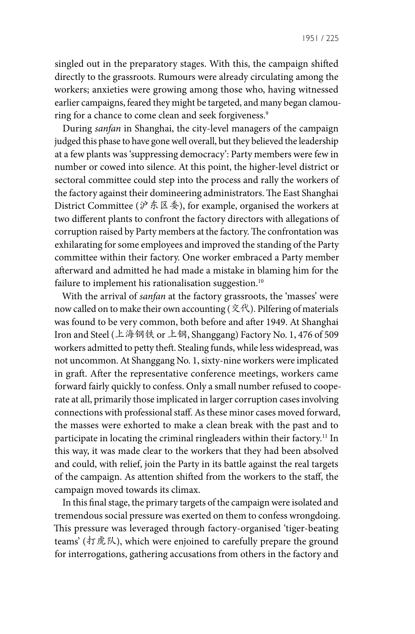singled out in the preparatory stages. With this, the campaign shifted directly to the grassroots. Rumours were already circulating among the workers; anxieties were growing among those who, having witnessed earlier campaigns, feared they might be targeted, and many began clamouring for a chance to come clean and seek forgiveness.<sup>9</sup>

During *sanfan* in Shanghai, the city-level managers of the campaign judged this phase to have gone well overall, but they believed the leadership at a few plants was 'suppressing democracy': Party members were few in number or cowed into silence. At this point, the higher-level district or sectoral committee could step into the process and rally the workers of the factory against their domineering administrators. The East Shanghai District Committee ( $\dot{\mathcal{V}}$  东区委), for example, organised the workers at two different plants to confront the factory directors with allegations of corruption raised by Party members at the factory. The confrontation was exhilarating for some employees and improved the standing of the Party committee within their factory. One worker embraced a Party member afterward and admitted he had made a mistake in blaming him for the failure to implement his rationalisation suggestion.<sup>10</sup>

With the arrival of *sanfan* at the factory grassroots, the 'masses' were now called on to make their own accounting (文代). Pilfering of materials was found to be very common, both before and after 1949. At Shanghai Iron and Steel (上海钢铁 or 上钢, Shanggang) Factory No. 1, 476 of 509 workers admitted to petty theft. Stealing funds, while less widespread, was not uncommon. At Shanggang No. 1, sixty-nine workers were implicated in graft. After the representative conference meetings, workers came forward fairly quickly to confess. Only a small number refused to cooperate at all, primarily those implicated in larger corruption cases involving connections with professional staff. As these minor cases moved forward, the masses were exhorted to make a clean break with the past and to participate in locating the criminal ringleaders within their factory.<sup>11</sup> In this way, it was made clear to the workers that they had been absolved and could, with relief, join the Party in its battle against the real targets of the campaign. As attention shifted from the workers to the staff, the campaign moved towards its climax.

In this final stage, the primary targets of the campaign were isolated and tremendous social pressure was exerted on them to confess wrongdoing. This pressure was leveraged through factory-organised 'tiger-beating teams' (打虎队), which were enjoined to carefully prepare the ground for interrogations, gathering accusations from others in the factory and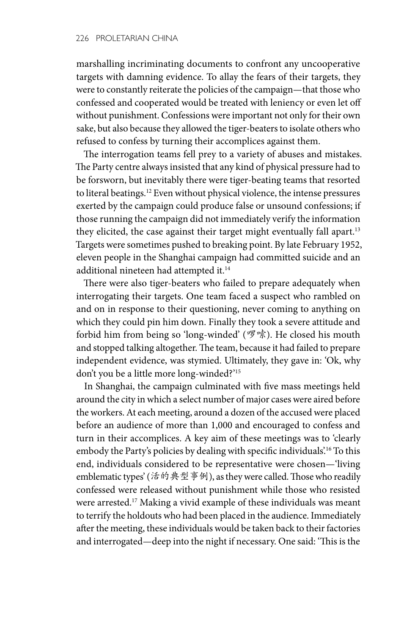marshalling incriminating documents to confront any uncooperative targets with damning evidence. To allay the fears of their targets, they were to constantly reiterate the policies of the campaign—that those who confessed and cooperated would be treated with leniency or even let off without punishment. Confessions were important not only for their own sake, but also because they allowed the tiger-beaters to isolate others who refused to confess by turning their accomplices against them.

The interrogation teams fell prey to a variety of abuses and mistakes. The Party centre always insisted that any kind of physical pressure had to be forsworn, but inevitably there were tiger-beating teams that resorted to literal beatings.<sup>12</sup> Even without physical violence, the intense pressures exerted by the campaign could produce false or unsound confessions; if those running the campaign did not immediately verify the information they elicited, the case against their target might eventually fall apart.<sup>13</sup> Targets were sometimes pushed to breaking point. By late February 1952, eleven people in the Shanghai campaign had committed suicide and an additional nineteen had attempted it.14

There were also tiger-beaters who failed to prepare adequately when interrogating their targets. One team faced a suspect who rambled on and on in response to their questioning, never coming to anything on which they could pin him down. Finally they took a severe attitude and forbid him from being so 'long-winded' (啰嗦). He closed his mouth and stopped talking altogether. The team, because it had failed to prepare independent evidence, was stymied. Ultimately, they gave in: 'Ok, why don't you be a little more long-winded?'15

In Shanghai, the campaign culminated with five mass meetings held around the city in which a select number of major cases were aired before the workers. At each meeting, around a dozen of the accused were placed before an audience of more than 1,000 and encouraged to confess and turn in their accomplices. A key aim of these meetings was to 'clearly embody the Party's policies by dealing with specific individuals'.<sup>16</sup> To this end, individuals considered to be representative were chosen—'living emblematic types' (活的典型事例), as they were called. Those who readily confessed were released without punishment while those who resisted were arrested.<sup>17</sup> Making a vivid example of these individuals was meant to terrify the holdouts who had been placed in the audience. Immediately after the meeting, these individuals would be taken back to their factories and interrogated—deep into the night if necessary. One said: 'This is the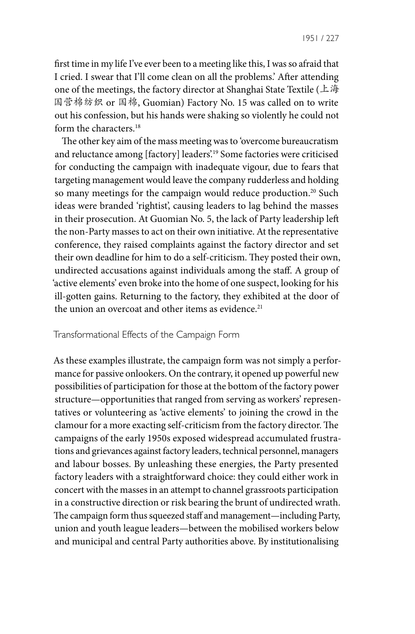1951 / 227

first time in my life I've ever been to a meeting like this, I was so afraid that I cried. I swear that I'll come clean on all the problems.' After attending one of the meetings, the factory director at Shanghai State Textile (上海 国营棉纺织 or 国棉, Guomian) Factory No. 15 was called on to write out his confession, but his hands were shaking so violently he could not form the characters.18

The other key aim of the mass meeting was to 'overcome bureaucratism and reluctance among [factory] leaders'.19 Some factories were criticised for conducting the campaign with inadequate vigour, due to fears that targeting management would leave the company rudderless and holding so many meetings for the campaign would reduce production.<sup>20</sup> Such ideas were branded 'rightist', causing leaders to lag behind the masses in their prosecution. At Guomian No. 5, the lack of Party leadership left the non-Party masses to act on their own initiative. At the representative conference, they raised complaints against the factory director and set their own deadline for him to do a self-criticism. They posted their own, undirected accusations against individuals among the staff. A group of 'active elements' even broke into the home of one suspect, looking for his ill-gotten gains. Returning to the factory, they exhibited at the door of the union an overcoat and other items as evidence.<sup>21</sup>

## Transformational Effects of the Campaign Form

As these examples illustrate, the campaign form was not simply a performance for passive onlookers. On the contrary, it opened up powerful new possibilities of participation for those at the bottom of the factory power structure—opportunities that ranged from serving as workers' representatives or volunteering as 'active elements' to joining the crowd in the clamour for a more exacting self-criticism from the factory director. The campaigns of the early 1950s exposed widespread accumulated frustrations and grievances against factory leaders, technical personnel, managers and labour bosses. By unleashing these energies, the Party presented factory leaders with a straightforward choice: they could either work in concert with the masses in an attempt to channel grassroots participation in a constructive direction or risk bearing the brunt of undirected wrath. The campaign form thus squeezed staff and management—including Party, union and youth league leaders—between the mobilised workers below and municipal and central Party authorities above. By institutionalising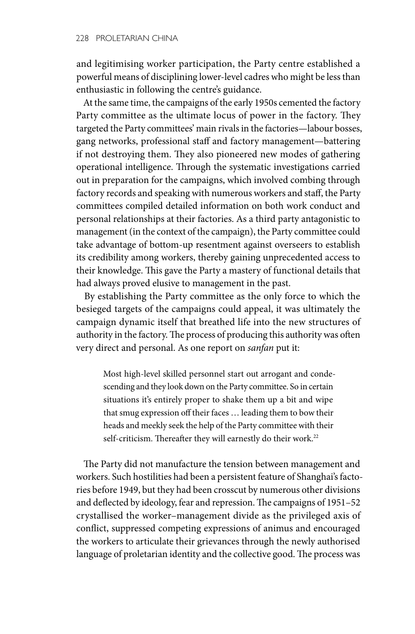and legitimising worker participation, the Party centre established a powerful means of disciplining lower-level cadres who might be less than enthusiastic in following the centre's guidance.

At the same time, the campaigns of the early 1950s cemented the factory Party committee as the ultimate locus of power in the factory. They targeted the Party committees' main rivals in the factories—labour bosses, gang networks, professional staff and factory management—battering if not destroying them. They also pioneered new modes of gathering operational intelligence. Through the systematic investigations carried out in preparation for the campaigns, which involved combing through factory records and speaking with numerous workers and staff, the Party committees compiled detailed information on both work conduct and personal relationships at their factories. As a third party antagonistic to management (in the context of the campaign), the Party committee could take advantage of bottom-up resentment against overseers to establish its credibility among workers, thereby gaining unprecedented access to their knowledge. This gave the Party a mastery of functional details that had always proved elusive to management in the past.

By establishing the Party committee as the only force to which the besieged targets of the campaigns could appeal, it was ultimately the campaign dynamic itself that breathed life into the new structures of authority in the factory. The process of producing this authority was often very direct and personal. As one report on *sanfan* put it:

Most high-level skilled personnel start out arrogant and condescending and they look down on the Party committee. So in certain situations it's entirely proper to shake them up a bit and wipe that smug expression off their faces … leading them to bow their heads and meekly seek the help of the Party committee with their self-criticism. Thereafter they will earnestly do their work.<sup>22</sup>

The Party did not manufacture the tension between management and workers. Such hostilities had been a persistent feature of Shanghai's factories before 1949, but they had been crosscut by numerous other divisions and deflected by ideology, fear and repression. The campaigns of 1951–52 crystallised the worker–management divide as the privileged axis of conflict, suppressed competing expressions of animus and encouraged the workers to articulate their grievances through the newly authorised language of proletarian identity and the collective good. The process was